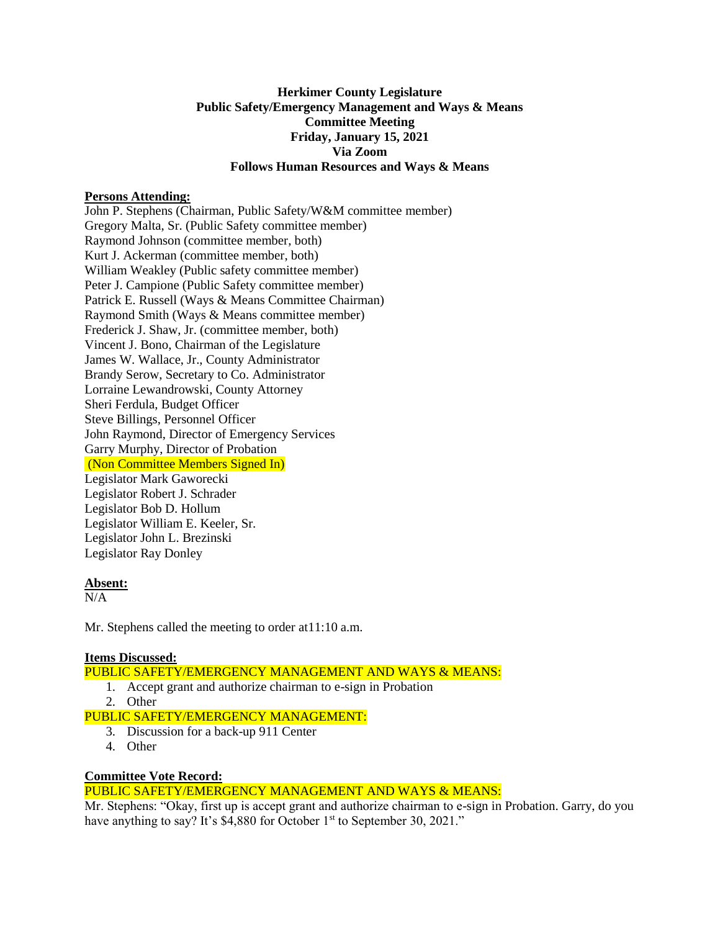## **Herkimer County Legislature Public Safety/Emergency Management and Ways & Means Committee Meeting Friday, January 15, 2021 Via Zoom Follows Human Resources and Ways & Means**

### **Persons Attending:**

John P. Stephens (Chairman, Public Safety/W&M committee member) Gregory Malta, Sr. (Public Safety committee member) Raymond Johnson (committee member, both) Kurt J. Ackerman (committee member, both) William Weakley (Public safety committee member) Peter J. Campione (Public Safety committee member) Patrick E. Russell (Ways & Means Committee Chairman) Raymond Smith (Ways & Means committee member) Frederick J. Shaw, Jr. (committee member, both) Vincent J. Bono, Chairman of the Legislature James W. Wallace, Jr., County Administrator Brandy Serow, Secretary to Co. Administrator Lorraine Lewandrowski, County Attorney Sheri Ferdula, Budget Officer Steve Billings, Personnel Officer John Raymond, Director of Emergency Services Garry Murphy, Director of Probation (Non Committee Members Signed In) Legislator Mark Gaworecki Legislator Robert J. Schrader Legislator Bob D. Hollum Legislator William E. Keeler, Sr. Legislator John L. Brezinski Legislator Ray Donley

### **Absent:**

N/A

Mr. Stephens called the meeting to order at 11:10 a.m.

### **Items Discussed:**

PUBLIC SAFETY/EMERGENCY MANAGEMENT AND WAYS & MEANS:

- 1. Accept grant and authorize chairman to e-sign in Probation
- 2. Other
- PUBLIC SAFETY/EMERGENCY MANAGEMENT:
	- 3. Discussion for a back-up 911 Center
	- 4. Other

### **Committee Vote Record:**

# PUBLIC SAFETY/EMERGENCY MANAGEMENT AND WAYS & MEANS:

Mr. Stephens: "Okay, first up is accept grant and authorize chairman to e-sign in Probation. Garry, do you have anything to say? It's \$4,880 for October 1<sup>st</sup> to September 30, 2021."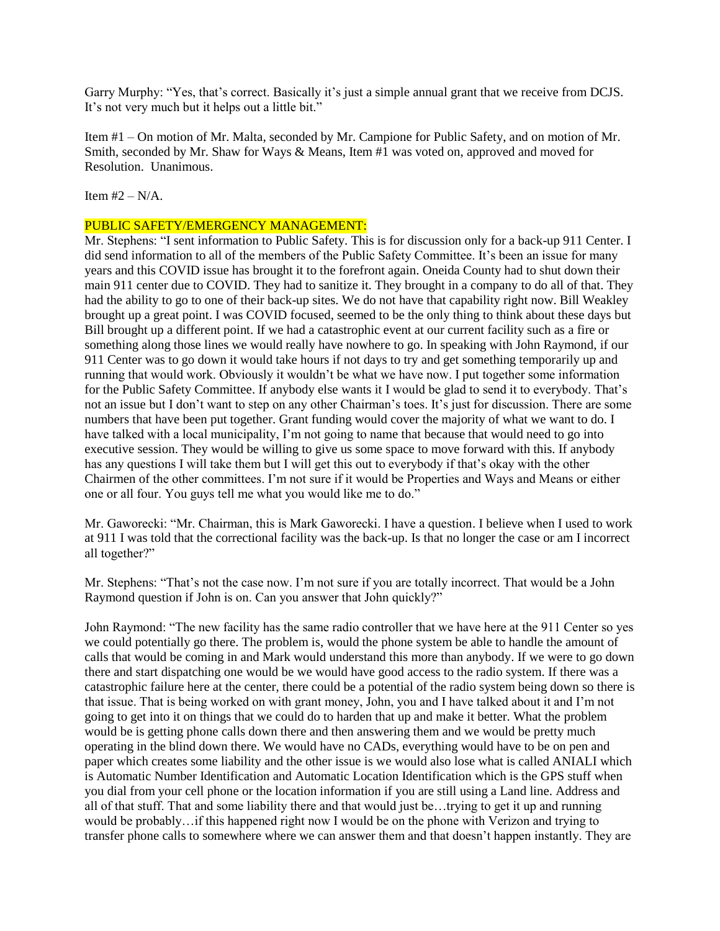Garry Murphy: "Yes, that's correct. Basically it's just a simple annual grant that we receive from DCJS. It's not very much but it helps out a little bit."

Item #1 – On motion of Mr. Malta, seconded by Mr. Campione for Public Safety, and on motion of Mr. Smith, seconded by Mr. Shaw for Ways & Means, Item #1 was voted on, approved and moved for Resolution. Unanimous.

Item  $#2 - N/A$ .

### PUBLIC SAFETY/EMERGENCY MANAGEMENT:

Mr. Stephens: "I sent information to Public Safety. This is for discussion only for a back-up 911 Center. I did send information to all of the members of the Public Safety Committee. It's been an issue for many years and this COVID issue has brought it to the forefront again. Oneida County had to shut down their main 911 center due to COVID. They had to sanitize it. They brought in a company to do all of that. They had the ability to go to one of their back-up sites. We do not have that capability right now. Bill Weakley brought up a great point. I was COVID focused, seemed to be the only thing to think about these days but Bill brought up a different point. If we had a catastrophic event at our current facility such as a fire or something along those lines we would really have nowhere to go. In speaking with John Raymond, if our 911 Center was to go down it would take hours if not days to try and get something temporarily up and running that would work. Obviously it wouldn't be what we have now. I put together some information for the Public Safety Committee. If anybody else wants it I would be glad to send it to everybody. That's not an issue but I don't want to step on any other Chairman's toes. It's just for discussion. There are some numbers that have been put together. Grant funding would cover the majority of what we want to do. I have talked with a local municipality, I'm not going to name that because that would need to go into executive session. They would be willing to give us some space to move forward with this. If anybody has any questions I will take them but I will get this out to everybody if that's okay with the other Chairmen of the other committees. I'm not sure if it would be Properties and Ways and Means or either one or all four. You guys tell me what you would like me to do."

Mr. Gaworecki: "Mr. Chairman, this is Mark Gaworecki. I have a question. I believe when I used to work at 911 I was told that the correctional facility was the back-up. Is that no longer the case or am I incorrect all together?"

Mr. Stephens: "That's not the case now. I'm not sure if you are totally incorrect. That would be a John Raymond question if John is on. Can you answer that John quickly?"

John Raymond: "The new facility has the same radio controller that we have here at the 911 Center so yes we could potentially go there. The problem is, would the phone system be able to handle the amount of calls that would be coming in and Mark would understand this more than anybody. If we were to go down there and start dispatching one would be we would have good access to the radio system. If there was a catastrophic failure here at the center, there could be a potential of the radio system being down so there is that issue. That is being worked on with grant money, John, you and I have talked about it and I'm not going to get into it on things that we could do to harden that up and make it better. What the problem would be is getting phone calls down there and then answering them and we would be pretty much operating in the blind down there. We would have no CADs, everything would have to be on pen and paper which creates some liability and the other issue is we would also lose what is called ANIALI which is Automatic Number Identification and Automatic Location Identification which is the GPS stuff when you dial from your cell phone or the location information if you are still using a Land line. Address and all of that stuff. That and some liability there and that would just be…trying to get it up and running would be probably…if this happened right now I would be on the phone with Verizon and trying to transfer phone calls to somewhere where we can answer them and that doesn't happen instantly. They are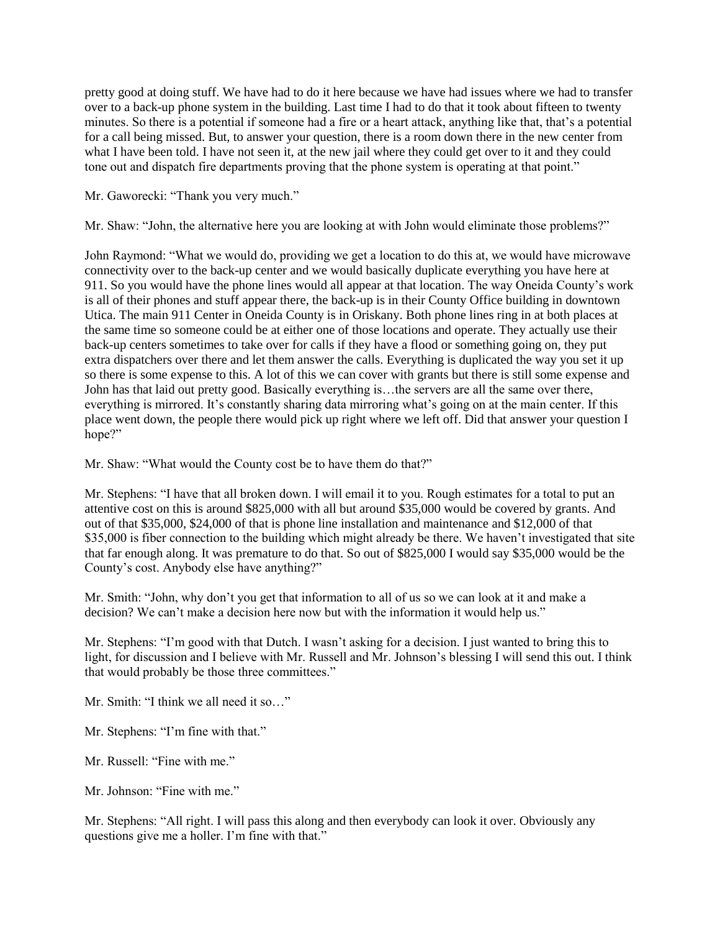pretty good at doing stuff. We have had to do it here because we have had issues where we had to transfer over to a back-up phone system in the building. Last time I had to do that it took about fifteen to twenty minutes. So there is a potential if someone had a fire or a heart attack, anything like that, that's a potential for a call being missed. But, to answer your question, there is a room down there in the new center from what I have been told. I have not seen it, at the new jail where they could get over to it and they could tone out and dispatch fire departments proving that the phone system is operating at that point."

Mr. Gaworecki: "Thank you very much."

Mr. Shaw: "John, the alternative here you are looking at with John would eliminate those problems?"

John Raymond: "What we would do, providing we get a location to do this at, we would have microwave connectivity over to the back-up center and we would basically duplicate everything you have here at 911. So you would have the phone lines would all appear at that location. The way Oneida County's work is all of their phones and stuff appear there, the back-up is in their County Office building in downtown Utica. The main 911 Center in Oneida County is in Oriskany. Both phone lines ring in at both places at the same time so someone could be at either one of those locations and operate. They actually use their back-up centers sometimes to take over for calls if they have a flood or something going on, they put extra dispatchers over there and let them answer the calls. Everything is duplicated the way you set it up so there is some expense to this. A lot of this we can cover with grants but there is still some expense and John has that laid out pretty good. Basically everything is…the servers are all the same over there, everything is mirrored. It's constantly sharing data mirroring what's going on at the main center. If this place went down, the people there would pick up right where we left off. Did that answer your question I hope?"

Mr. Shaw: "What would the County cost be to have them do that?"

Mr. Stephens: "I have that all broken down. I will email it to you. Rough estimates for a total to put an attentive cost on this is around \$825,000 with all but around \$35,000 would be covered by grants. And out of that \$35,000, \$24,000 of that is phone line installation and maintenance and \$12,000 of that \$35,000 is fiber connection to the building which might already be there. We haven't investigated that site that far enough along. It was premature to do that. So out of \$825,000 I would say \$35,000 would be the County's cost. Anybody else have anything?"

Mr. Smith: "John, why don't you get that information to all of us so we can look at it and make a decision? We can't make a decision here now but with the information it would help us."

Mr. Stephens: "I'm good with that Dutch. I wasn't asking for a decision. I just wanted to bring this to light, for discussion and I believe with Mr. Russell and Mr. Johnson's blessing I will send this out. I think that would probably be those three committees."

Mr. Smith: "I think we all need it so…"

Mr. Stephens: "I'm fine with that."

Mr. Russell: "Fine with me."

Mr. Johnson: "Fine with me."

Mr. Stephens: "All right. I will pass this along and then everybody can look it over. Obviously any questions give me a holler. I'm fine with that."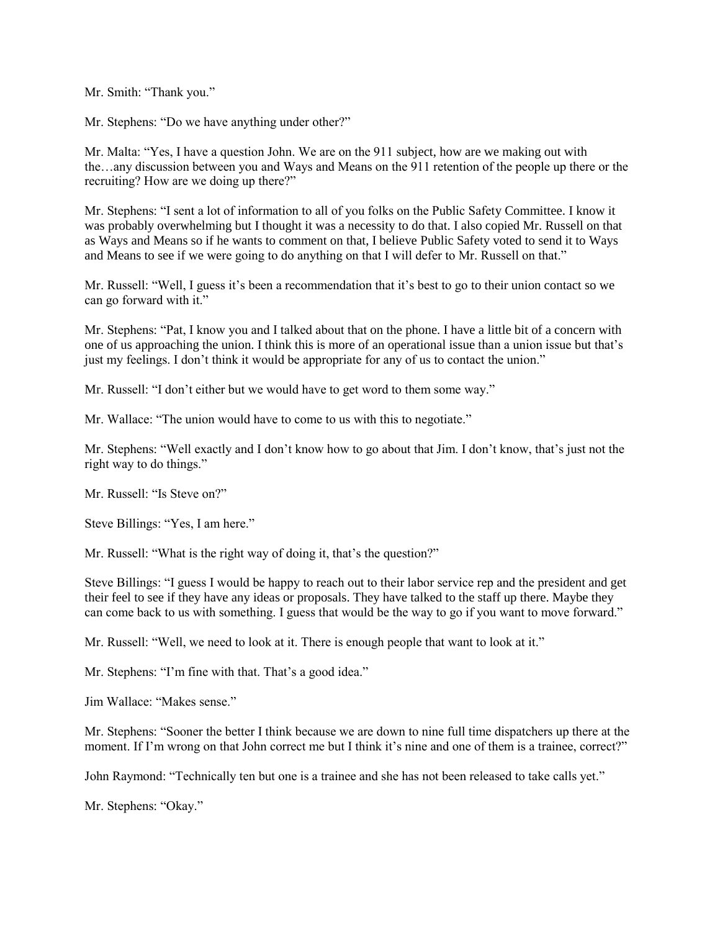Mr. Smith: "Thank you."

Mr. Stephens: "Do we have anything under other?"

Mr. Malta: "Yes, I have a question John. We are on the 911 subject, how are we making out with the…any discussion between you and Ways and Means on the 911 retention of the people up there or the recruiting? How are we doing up there?"

Mr. Stephens: "I sent a lot of information to all of you folks on the Public Safety Committee. I know it was probably overwhelming but I thought it was a necessity to do that. I also copied Mr. Russell on that as Ways and Means so if he wants to comment on that, I believe Public Safety voted to send it to Ways and Means to see if we were going to do anything on that I will defer to Mr. Russell on that."

Mr. Russell: "Well, I guess it's been a recommendation that it's best to go to their union contact so we can go forward with it."

Mr. Stephens: "Pat, I know you and I talked about that on the phone. I have a little bit of a concern with one of us approaching the union. I think this is more of an operational issue than a union issue but that's just my feelings. I don't think it would be appropriate for any of us to contact the union."

Mr. Russell: "I don't either but we would have to get word to them some way."

Mr. Wallace: "The union would have to come to us with this to negotiate."

Mr. Stephens: "Well exactly and I don't know how to go about that Jim. I don't know, that's just not the right way to do things."

Mr. Russell: "Is Steve on?"

Steve Billings: "Yes, I am here."

Mr. Russell: "What is the right way of doing it, that's the question?"

Steve Billings: "I guess I would be happy to reach out to their labor service rep and the president and get their feel to see if they have any ideas or proposals. They have talked to the staff up there. Maybe they can come back to us with something. I guess that would be the way to go if you want to move forward."

Mr. Russell: "Well, we need to look at it. There is enough people that want to look at it."

Mr. Stephens: "I'm fine with that. That's a good idea."

Jim Wallace: "Makes sense."

Mr. Stephens: "Sooner the better I think because we are down to nine full time dispatchers up there at the moment. If I'm wrong on that John correct me but I think it's nine and one of them is a trainee, correct?"

John Raymond: "Technically ten but one is a trainee and she has not been released to take calls yet."

Mr. Stephens: "Okay."